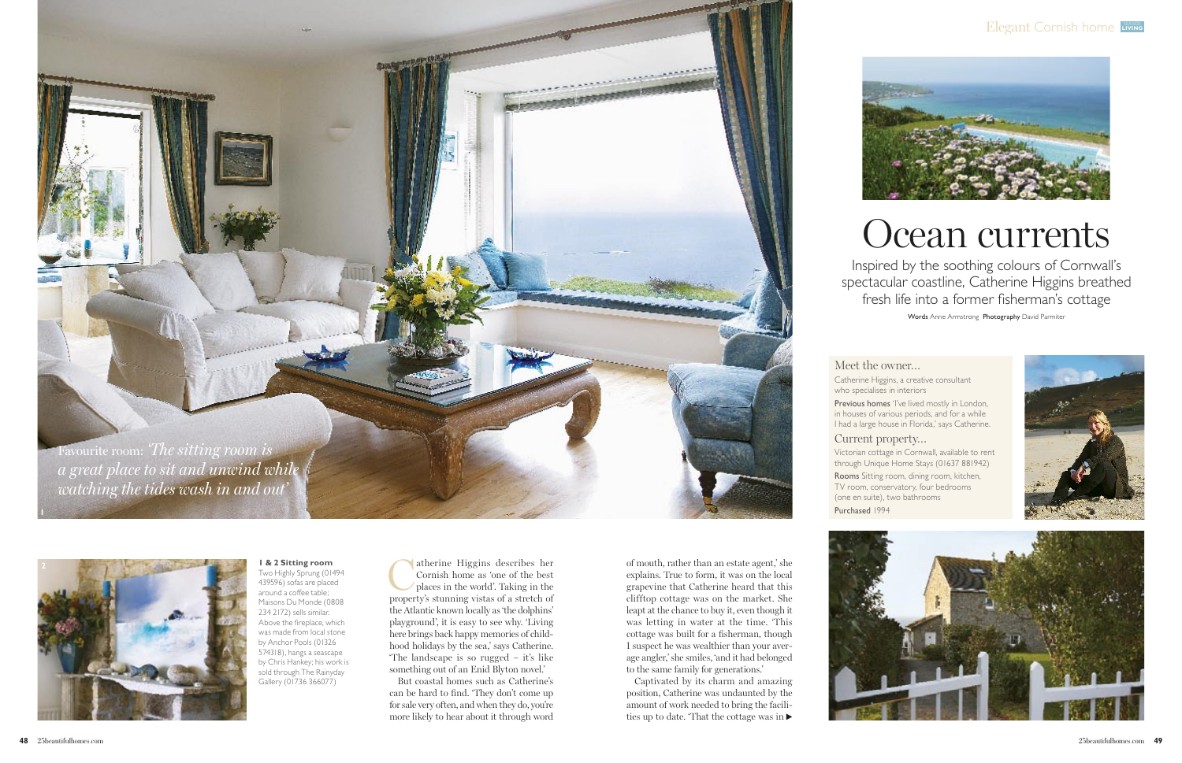## Ocean currents

Inspired by the soothing colours of Cornwall's spectacular coastline, Catherine Higgins breathed fresh life into a former fisherman's cottage

Words Anne Armstrong Photography David Parmiter







**C**atherine Higgins describes her Cornish home as 'one of the best places in the world'. Taking in the proportive cluster of a strateh of Cornish home as 'one of the best property's stunning vistas of a stretch of the Atlantic known locally as 'the dolphins' playground', it is easy to see why. 'Living here brings back happy memories of childhood holidays by the sea,' says Catherine. 'The landscape is so rugged – it's like something out of an Enid Blyton novel.'

But coastal homes such as Catherine's can be hard to find. 'They don't come up for sale very often, and when they do, you're more likely to hear about it through word

## Meet the owner…

- Catherine Higgins, a creative consultant who specialises in interiors
- Previous homes 'I've lived mostly in London, in houses of various periods, and for a while I had a large house in Florida,' says Catherine.

ties up to date. That the cottage was in  $\blacktriangleright$ Captivated by its charm and amazing position, Catherine was undaunted by the amount of work needed to bring the facili-



## Current property…

- Victorian cottage in Cornwall, available to rent through Unique Home Stays (01637 881942)
- Rooms Sitting room, dining room, kitchen, TV room, conservatory, four bedrooms (one en suite), two bathrooms Purchased 1994





## **1 & 2 Sitting room**  Two Highly Sprung (01494 439596) sofas are placed around a coffee table; Maisons Du Monde (0808 234 2172) sells similar. Above the fireplace, which was made from local stone by Anchor Pools (01326 574318), hangs a seascape by Chris Hankey; his work is sold through The Rainyday Gallery (01736 366077)

of mouth, rather than an estate agent,' she explains. True to form, it was on the local grapevine that Catherine heard that this clifftop cottage was on the market. She leapt at the chance to buy it, even though it was letting in water at the time. 'This cottage was built for a fisherman, though I suspect he was wealthier than your average angler,' she smiles, 'and it had belonged to the same family for generations.'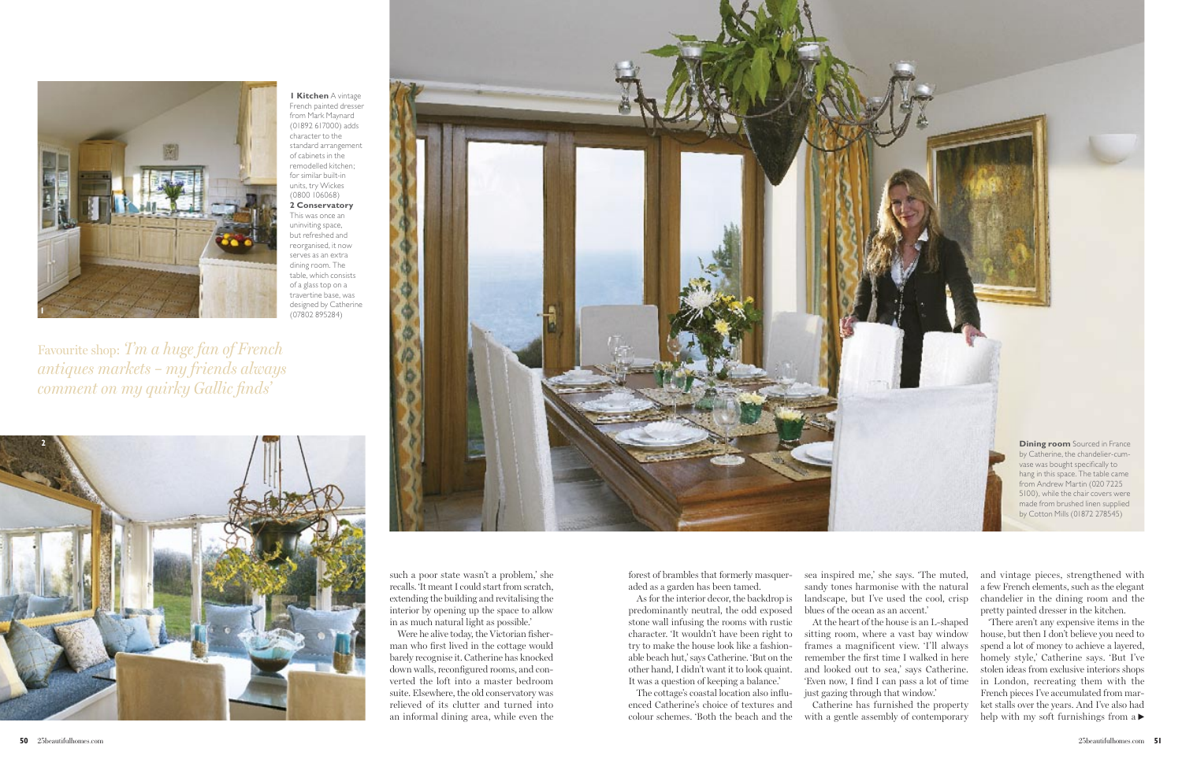Favourite shop: *'I'm a huge fan of French antiques markets – my friends always comment on my quirky Gallic finds'*







forest of brambles that formerly masqueraded as a garden has been tamed.

As for the interior decor, the backdrop is predominantly neutral, the odd exposed stone wall infusing the rooms with rustic character. 'It wouldn't have been right to try to make the house look like a fashionable beach hut,' says Catherine. 'But on the other hand, I didn't want it to look quaint. It was a question of keeping a balance.'

The cottage's coastal location also influenced Catherine's choice of textures and colour schemes. 'Both the beach and the

sea inspired me,' she says. 'The muted, sandy tones harmonise with the natural landscape, but I've used the cool, crisp blues of the ocean as an accent.'

> help with my soft furnishings from a 'There aren't any expensive items in the house, but then I don't believe you need to spend a lot of money to achieve a layered, homely style,' Catherine says. 'But I've stolen ideas from exclusive interiors shops in London, recreating them with the French pieces I've accumulated from market stalls over the years. And I've also had

At the heart of the house is an L-shaped sitting room, where a vast bay window frames a magnificent view. 'I'll always remember the first time I walked in here and looked out to sea,' says Catherine. 'Even now, I find I can pass a lot of time just gazing through that window.'

Catherine has furnished the property with a gentle assembly of contemporary

and vintage pieces, strengthened with a few French elements, such as the elegant chandelier in the dining room and the pretty painted dresser in the kitchen.

**1 Kitchen** A vintage French painted dresser from Mark Maynard (01892 617000) adds character to the standard arrangement of cabinets in the remodelled kitchen; for similar built-in units, try Wickes (0800 106068) **2 Conservatory**  This was once an uninviting space, but refreshed and reorganised, it now serves as an extra dining room. The table, which consists of a glass top on a travertine base, was designed by Catherine (07802 895284)

> such a poor state wasn't a problem,' she recalls. 'It meant I could start from scratch, extending the building and revitalising the interior by opening up the space to allow in as much natural light as possible.'

> Were he alive today, the Victorian fisherman who first lived in the cottage would barely recognise it. Catherine has knocked down walls, reconfigured rooms, and converted the loft into a master bedroom suite. Elsewhere, the old conservatory was relieved of its clutter and turned into an informal dining area, while even the